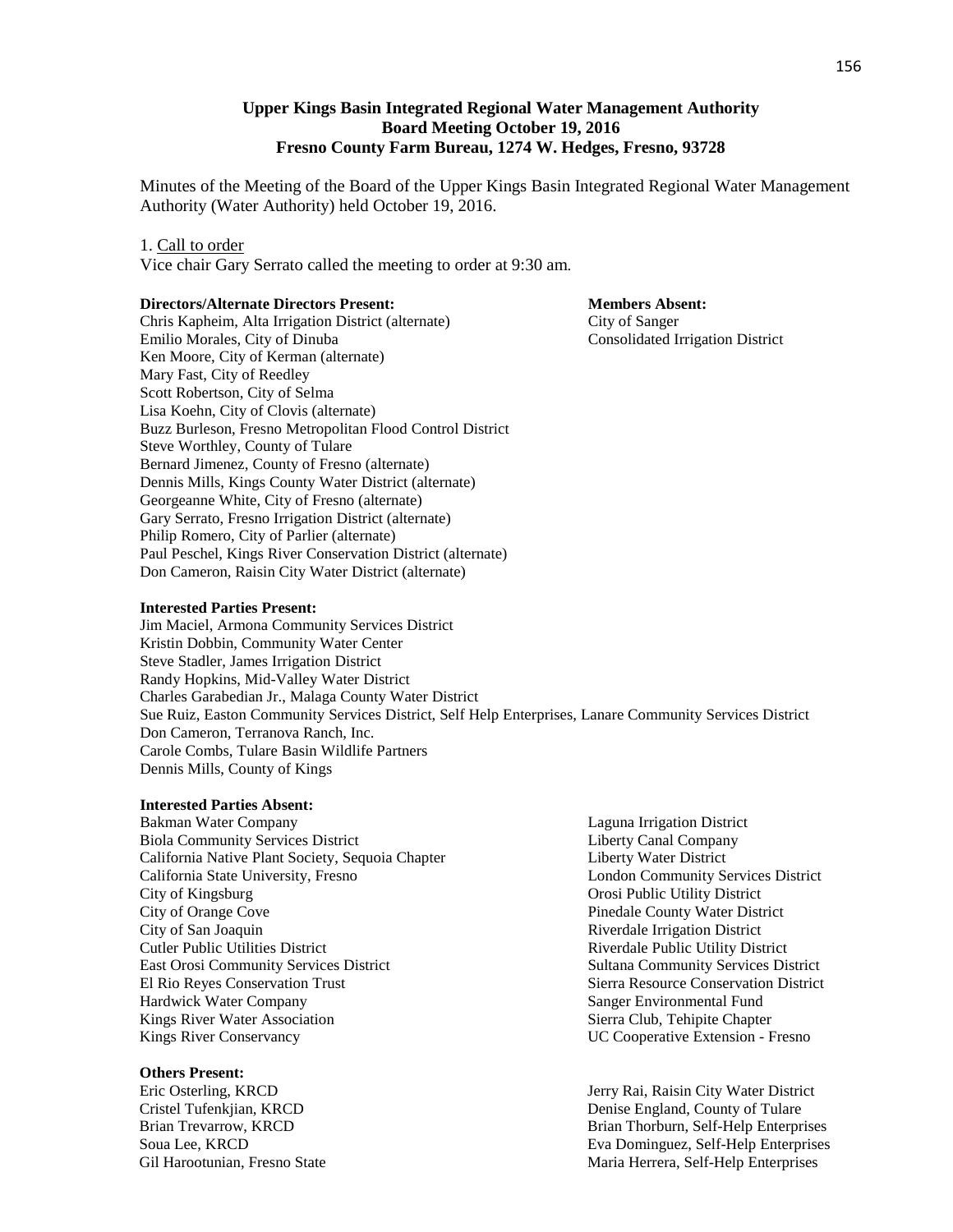## **Upper Kings Basin Integrated Regional Water Management Authority Board Meeting October 19, 2016 Fresno County Farm Bureau, 1274 W. Hedges, Fresno, 93728**

Minutes of the Meeting of the Board of the Upper Kings Basin Integrated Regional Water Management Authority (Water Authority) held October 19, 2016.

#### 1. Call to order

Vice chair Gary Serrato called the meeting to order at 9:30 am.

#### **Directors/Alternate Directors Present: Members Absent: Members Absent:**

Chris Kapheim, Alta Irrigation District (alternate) City of Sanger Emilio Morales, City of Dinuba Consolidated Irrigation District Ken Moore, City of Kerman (alternate) Mary Fast, City of Reedley Scott Robertson, City of Selma Lisa Koehn, City of Clovis (alternate) Buzz Burleson, Fresno Metropolitan Flood Control District Steve Worthley, County of Tulare Bernard Jimenez, County of Fresno (alternate) Dennis Mills, Kings County Water District (alternate) Georgeanne White, City of Fresno (alternate) Gary Serrato, Fresno Irrigation District (alternate) Philip Romero, City of Parlier (alternate) Paul Peschel, Kings River Conservation District (alternate) Don Cameron, Raisin City Water District (alternate)

### **Interested Parties Present:**

Jim Maciel, Armona Community Services District Kristin Dobbin, Community Water Center Steve Stadler, James Irrigation District Randy Hopkins, Mid-Valley Water District Charles Garabedian Jr., Malaga County Water District Sue Ruiz, Easton Community Services District, Self Help Enterprises, Lanare Community Services District Don Cameron, Terranova Ranch, Inc. Carole Combs, Tulare Basin Wildlife Partners Dennis Mills, County of Kings

#### **Interested Parties Absent:**

Bakman Water Company Laguna Irrigation District Biola Community Services District **Liberty Canal Company** California Native Plant Society, Sequoia Chapter Liberty Water District California State University, Fresno London Community Services District City of Kingsburg Orosi Public Utility District City of Orange Cove Pinedale County Water District City of San Joaquin **Riverdale Institute City of San Joaquin** Riverdale Irrigation District Cutler Public Utilities District **Riverse Information** Riverdale Public Utility District East Orosi Community Services District Sultana Community Services District El Rio Reyes Conservation Trust Sierra Resource Conservation District Hardwick Water Company Sanger Environmental Fund Kings River Water Association Sierra Club, Tehipite Chapter Kings River Conservancy UC Cooperative Extension - Fresno

#### **Others Present:**

Eric Osterling, KRCD Jerry Rai, Raisin City Water District Cristel Tufenkjian, KRCD Denise England, County of Tulare Brian Trevarrow, KRCD **Brian Thorburn, Self-Help Enterprises** Soua Lee, KRCD Eva Dominguez, Self-Help Enterprises Gil Harootunian, Fresno State Maria Herrera, Self-Help Enterprises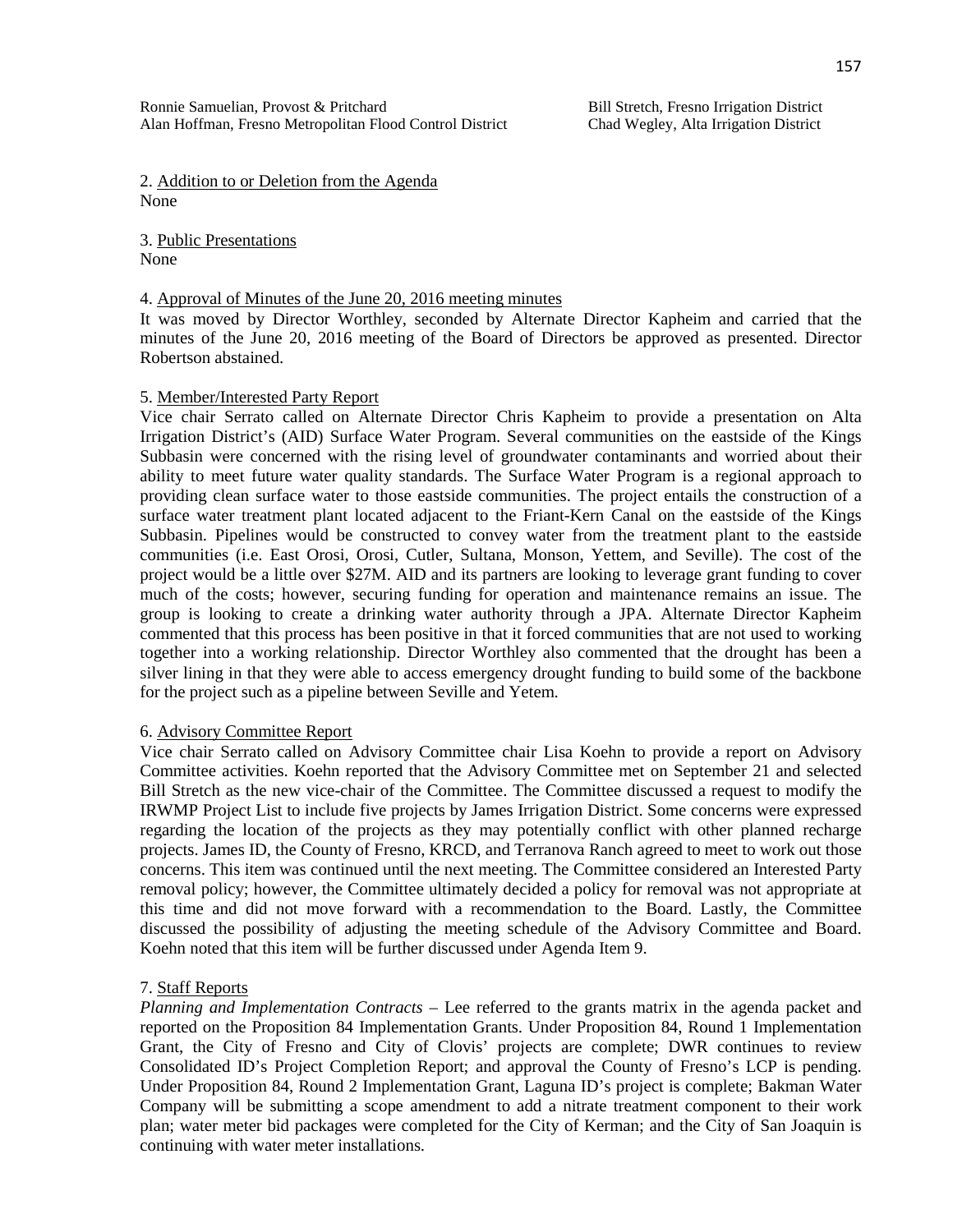2. Addition to or Deletion from the Agenda None

3. Public Presentations None

### 4. Approval of Minutes of the June 20, 2016 meeting minutes

It was moved by Director Worthley, seconded by Alternate Director Kapheim and carried that the minutes of the June 20, 2016 meeting of the Board of Directors be approved as presented. Director Robertson abstained.

## 5. Member/Interested Party Report

Vice chair Serrato called on Alternate Director Chris Kapheim to provide a presentation on Alta Irrigation District's (AID) Surface Water Program. Several communities on the eastside of the Kings Subbasin were concerned with the rising level of groundwater contaminants and worried about their ability to meet future water quality standards. The Surface Water Program is a regional approach to providing clean surface water to those eastside communities. The project entails the construction of a surface water treatment plant located adjacent to the Friant-Kern Canal on the eastside of the Kings Subbasin. Pipelines would be constructed to convey water from the treatment plant to the eastside communities (i.e. East Orosi, Orosi, Cutler, Sultana, Monson, Yettem, and Seville). The cost of the project would be a little over \$27M. AID and its partners are looking to leverage grant funding to cover much of the costs; however, securing funding for operation and maintenance remains an issue. The group is looking to create a drinking water authority through a JPA. Alternate Director Kapheim commented that this process has been positive in that it forced communities that are not used to working together into a working relationship. Director Worthley also commented that the drought has been a silver lining in that they were able to access emergency drought funding to build some of the backbone for the project such as a pipeline between Seville and Yetem.

## 6. Advisory Committee Report

Vice chair Serrato called on Advisory Committee chair Lisa Koehn to provide a report on Advisory Committee activities. Koehn reported that the Advisory Committee met on September 21 and selected Bill Stretch as the new vice-chair of the Committee. The Committee discussed a request to modify the IRWMP Project List to include five projects by James Irrigation District. Some concerns were expressed regarding the location of the projects as they may potentially conflict with other planned recharge projects. James ID, the County of Fresno, KRCD, and Terranova Ranch agreed to meet to work out those concerns. This item was continued until the next meeting. The Committee considered an Interested Party removal policy; however, the Committee ultimately decided a policy for removal was not appropriate at this time and did not move forward with a recommendation to the Board. Lastly, the Committee discussed the possibility of adjusting the meeting schedule of the Advisory Committee and Board. Koehn noted that this item will be further discussed under Agenda Item 9.

#### 7. Staff Reports

*Planning and Implementation Contracts* – Lee referred to the grants matrix in the agenda packet and reported on the Proposition 84 Implementation Grants. Under Proposition 84, Round 1 Implementation Grant, the City of Fresno and City of Clovis' projects are complete; DWR continues to review Consolidated ID's Project Completion Report; and approval the County of Fresno's LCP is pending. Under Proposition 84, Round 2 Implementation Grant, Laguna ID's project is complete; Bakman Water Company will be submitting a scope amendment to add a nitrate treatment component to their work plan; water meter bid packages were completed for the City of Kerman; and the City of San Joaquin is continuing with water meter installations.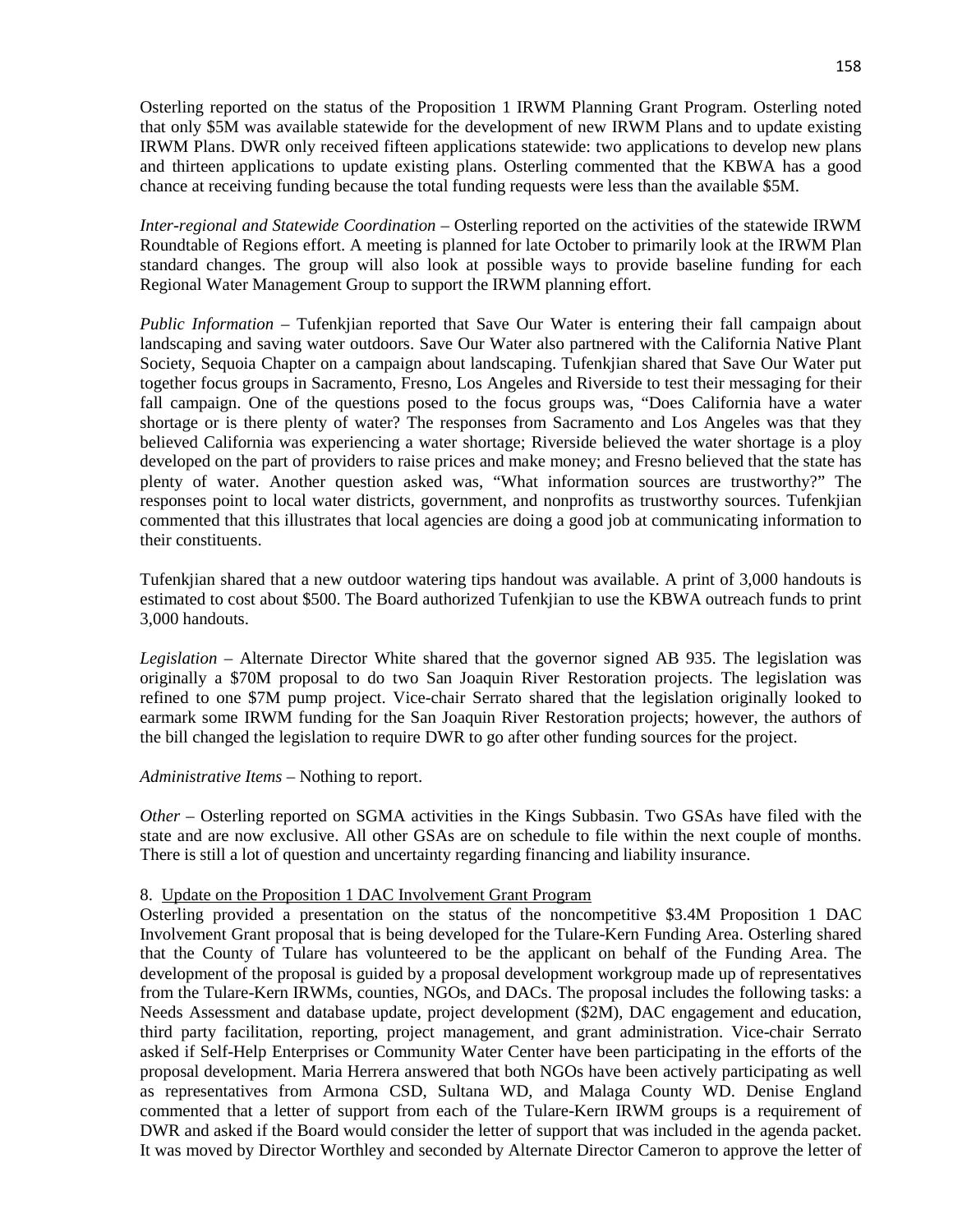Osterling reported on the status of the Proposition 1 IRWM Planning Grant Program. Osterling noted that only \$5M was available statewide for the development of new IRWM Plans and to update existing IRWM Plans. DWR only received fifteen applications statewide: two applications to develop new plans and thirteen applications to update existing plans. Osterling commented that the KBWA has a good chance at receiving funding because the total funding requests were less than the available \$5M.

*Inter-regional and Statewide Coordination* – Osterling reported on the activities of the statewide IRWM Roundtable of Regions effort. A meeting is planned for late October to primarily look at the IRWM Plan standard changes. The group will also look at possible ways to provide baseline funding for each Regional Water Management Group to support the IRWM planning effort.

*Public Information* – Tufenkjian reported that Save Our Water is entering their fall campaign about landscaping and saving water outdoors. Save Our Water also partnered with the California Native Plant Society, Sequoia Chapter on a campaign about landscaping. Tufenkjian shared that Save Our Water put together focus groups in Sacramento, Fresno, Los Angeles and Riverside to test their messaging for their fall campaign. One of the questions posed to the focus groups was, "Does California have a water shortage or is there plenty of water? The responses from Sacramento and Los Angeles was that they believed California was experiencing a water shortage; Riverside believed the water shortage is a ploy developed on the part of providers to raise prices and make money; and Fresno believed that the state has plenty of water. Another question asked was, "What information sources are trustworthy?" The responses point to local water districts, government, and nonprofits as trustworthy sources. Tufenkjian commented that this illustrates that local agencies are doing a good job at communicating information to their constituents.

Tufenkjian shared that a new outdoor watering tips handout was available. A print of 3,000 handouts is estimated to cost about \$500. The Board authorized Tufenkjian to use the KBWA outreach funds to print 3,000 handouts.

*Legislation* – Alternate Director White shared that the governor signed AB 935. The legislation was originally a \$70M proposal to do two San Joaquin River Restoration projects. The legislation was refined to one \$7M pump project. Vice-chair Serrato shared that the legislation originally looked to earmark some IRWM funding for the San Joaquin River Restoration projects; however, the authors of the bill changed the legislation to require DWR to go after other funding sources for the project.

## *Administrative Items* – Nothing to report.

*Other* – Osterling reported on SGMA activities in the Kings Subbasin. Two GSAs have filed with the state and are now exclusive. All other GSAs are on schedule to file within the next couple of months. There is still a lot of question and uncertainty regarding financing and liability insurance.

## 8. Update on the Proposition 1 DAC Involvement Grant Program

Osterling provided a presentation on the status of the noncompetitive \$3.4M Proposition 1 DAC Involvement Grant proposal that is being developed for the Tulare-Kern Funding Area. Osterling shared that the County of Tulare has volunteered to be the applicant on behalf of the Funding Area. The development of the proposal is guided by a proposal development workgroup made up of representatives from the Tulare-Kern IRWMs, counties, NGOs, and DACs. The proposal includes the following tasks: a Needs Assessment and database update, project development (\$2M), DAC engagement and education, third party facilitation, reporting, project management, and grant administration. Vice-chair Serrato asked if Self-Help Enterprises or Community Water Center have been participating in the efforts of the proposal development. Maria Herrera answered that both NGOs have been actively participating as well as representatives from Armona CSD, Sultana WD, and Malaga County WD. Denise England commented that a letter of support from each of the Tulare-Kern IRWM groups is a requirement of DWR and asked if the Board would consider the letter of support that was included in the agenda packet. It was moved by Director Worthley and seconded by Alternate Director Cameron to approve the letter of